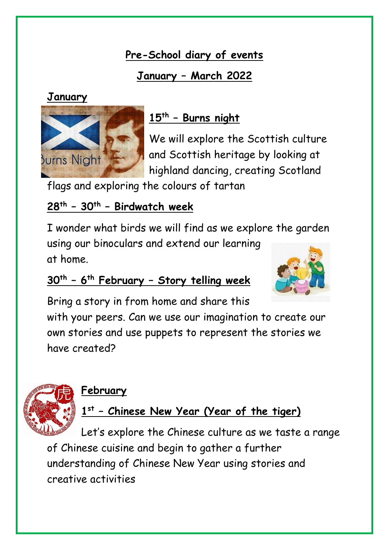# **Pre-School diary of events**

## **January – March 2022**

#### **January**



# **15th – Burns night**

We will explore the Scottish culture and Scottish heritage by looking at highland dancing, creating Scotland

flags and exploring the colours of tartan

# **28th – 30th – Birdwatch week**

I wonder what birds we will find as we explore the garden using our binoculars and extend our learning at home.

## **30th – 6 th February – Story telling week**



Bring a story in from home and share this

with your peers. Can we use our imagination to create our own stories and use puppets to represent the stories we have created?



## **February**

# **1 st – Chinese New Year (Year of the tiger)**

Let's explore the Chinese culture as we taste a range of Chinese cuisine and begin to gather a further understanding of Chinese New Year using stories and creative activities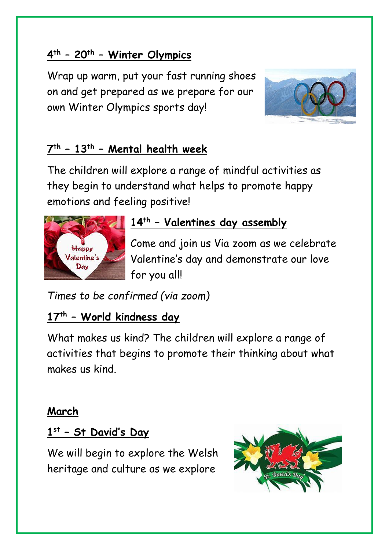# **4 th – 20th – Winter Olympics**

Wrap up warm, put your fast running shoes on and get prepared as we prepare for our own Winter Olympics sports day!



## **7 th – 13th – Mental health week**

The children will explore a range of mindful activities as they begin to understand what helps to promote happy emotions and feeling positive!



# **14th – Valentines day assembly**

Come and join us Via zoom as we celebrate Valentine's day and demonstrate our love for you all!

*Times to be confirmed (via zoom)*

#### **17th – World kindness day**

What makes us kind? The children will explore a range of activities that begins to promote their thinking about what makes us kind.

#### **March**

#### **1 st – St David's Day**

We will begin to explore the Welsh heritage and culture as we explore

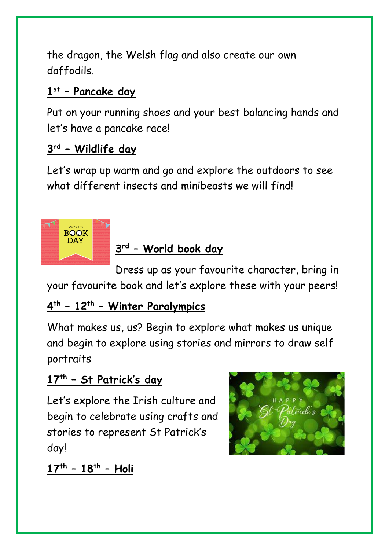the dragon, the Welsh flag and also create our own daffodils.

#### **1 st – Pancake day**

Put on your running shoes and your best balancing hands and let's have a pancake race!

#### **3 rd – Wildlife day**

Let's wrap up warm and go and explore the outdoors to see what different insects and minibeasts we will find!



## **3 rd – World book day**

Dress up as your favourite character, bring in your favourite book and let's explore these with your peers!

#### **4 th – 12th – Winter Paralympics**

What makes us, us? Begin to explore what makes us unique and begin to explore using stories and mirrors to draw self portraits

#### **17th – St Patrick's day**

Let's explore the Irish culture and begin to celebrate using crafts and stories to represent St Patrick's day!



**17th – 18th – Holi**